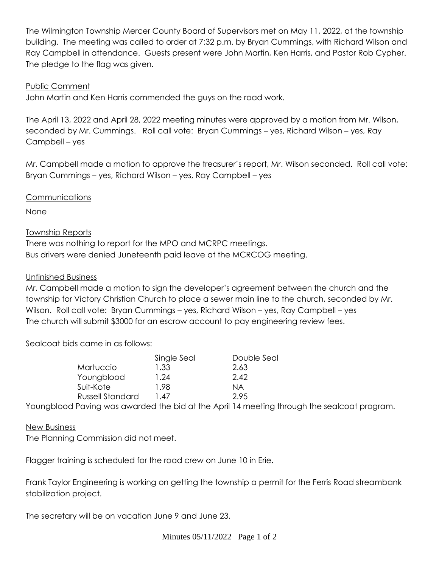The Wilmington Township Mercer County Board of Supervisors met on May 11, 2022, at the township building. The meeting was called to order at 7:32 p.m. by Bryan Cummings, with Richard Wilson and Ray Campbell in attendance. Guests present were John Martin, Ken Harris, and Pastor Rob Cypher. The pledge to the flag was given.

### Public Comment

John Martin and Ken Harris commended the guys on the road work.

The April 13, 2022 and April 28, 2022 meeting minutes were approved by a motion from Mr. Wilson, seconded by Mr. Cummings. Roll call vote: Bryan Cummings – yes, Richard Wilson – yes, Ray Campbell – yes

Mr. Campbell made a motion to approve the treasurer's report, Mr. Wilson seconded. Roll call vote: Bryan Cummings – yes, Richard Wilson – yes, Ray Campbell – yes

## **Communications**

None

# Township Reports

There was nothing to report for the MPO and MCRPC meetings. Bus drivers were denied Juneteenth paid leave at the MCRCOG meeting.

## Unfinished Business

Mr. Campbell made a motion to sign the developer's agreement between the church and the township for Victory Christian Church to place a sewer main line to the church, seconded by Mr. Wilson. Roll call vote: Bryan Cummings – yes, Richard Wilson – yes, Ray Campbell – yes The church will submit \$3000 for an escrow account to pay engineering review fees.

Sealcoat bids came in as follows:

|                         | Single Seal | Double Seal |
|-------------------------|-------------|-------------|
| Martuccio               | 1.33        | 2.63        |
| Youngblood              | 1.24        | 2.42        |
| Suit-Kote               | 1.98        | ΝA          |
| <b>Russell Standard</b> | .47         | 2.95        |
|                         |             |             |

Youngblood Paving was awarded the bid at the April 14 meeting through the sealcoat program.

#### New Business

The Planning Commission did not meet.

Flagger training is scheduled for the road crew on June 10 in Erie.

Frank Taylor Engineering is working on getting the township a permit for the Ferris Road streambank stabilization project.

The secretary will be on vacation June 9 and June 23.